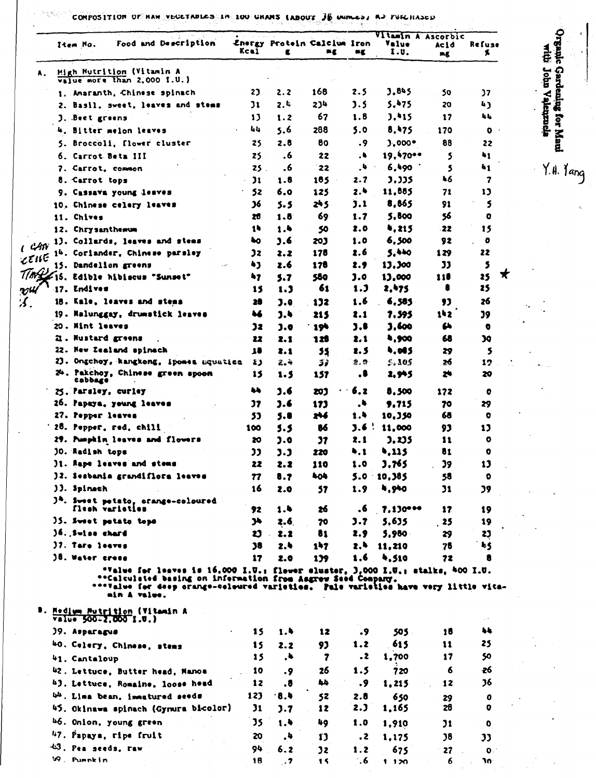MA 6 CONPOSITION OF HAM VECETABLES IN 100 GHAMS (ABOUT 36 GHALLS) AS FUICHASED

| Item No.                                     | Food and Description                                                                                                                                                                                                                                 | Kcal         | £          | Energy Protein Calcium Iron<br>mg  | шg             | Vitamin<br>Value<br>I.U. | ASCOLPIC<br>Acid<br>mg | Refuse<br>\$. |
|----------------------------------------------|------------------------------------------------------------------------------------------------------------------------------------------------------------------------------------------------------------------------------------------------------|--------------|------------|------------------------------------|----------------|--------------------------|------------------------|---------------|
| Α.                                           | High Nutrition (Vitamin A<br>value more than 2.000 I.U.)                                                                                                                                                                                             |              |            |                                    |                |                          |                        |               |
|                                              | 1. Amaranth, Chinese spinach                                                                                                                                                                                                                         | 23           | 2.2        | 168                                | 2.5            | 3.845                    | 50                     | 37            |
|                                              | 2. Basil, sweet, leaves and stems                                                                                                                                                                                                                    | 31           | 2.4        | 234                                | J.S            | 5.475                    | 20                     | 4J            |
| <b>J. Beet greens</b>                        |                                                                                                                                                                                                                                                      | 13           | 1.2        | 67                                 | 1.6            | 3.415                    | 17                     | եե            |
|                                              | 4, Bitter melon leaves                                                                                                                                                                                                                               | 44           | 5.6        | 288                                | 5.0            | 8,475                    | 170                    | o             |
|                                              | 5. Broccoli, flower cluster                                                                                                                                                                                                                          | 25           | 2.8        | 80                                 | - 9            | $3.000*$                 | 88                     | 22            |
| 6. Carrot Beta III                           |                                                                                                                                                                                                                                                      | 25.          | .6         | 22                                 | . 4            | 19.470                   | 5                      | 41            |
| 7. Carrot, common                            |                                                                                                                                                                                                                                                      | 25.          | .6         | 22                                 | 4,             | 6,490                    | 5                      | 41            |
| 8. Carrot tops                               |                                                                                                                                                                                                                                                      | $\mathbf{u}$ | 1.8        | 185                                | 2.7            | 3.335                    | 46                     | 7             |
|                                              | 9. Cassava young leaves                                                                                                                                                                                                                              | 52           | 6.0        | 125                                | 2.4            | 11,885                   | 71                     | 13            |
|                                              | 10. Chinese celery leaves                                                                                                                                                                                                                            | 36           | 5. 5       | 245                                | 3.1            | 8,865                    | 91                     | 5             |
| 11. Chives                                   |                                                                                                                                                                                                                                                      | 20           | 1.8        | 69                                 | 1.7            | 5,800                    | 56                     | o             |
| 12. Chrysanthemum                            |                                                                                                                                                                                                                                                      | 14           | 1.4        | 50                                 | 2.0            | 4,215                    | -22                    | 15            |
| CAN                                          | 13. Collards, leaves and steas                                                                                                                                                                                                                       | 40           | 3.6        | 203                                | 1.0            | 6,500                    | 92                     | o             |
| CEILE                                        | 14. Corlander, Chinese parsley                                                                                                                                                                                                                       | Jz           | 2.2        | 178                                | 2.6            | 5,440                    | 129                    | 22            |
| 15. Dandellon greens                         |                                                                                                                                                                                                                                                      | ני           | 2.6        | 178                                | z. 9           | 13,300                   | 33                     | 5             |
|                                              | TIMALIS, Edible hibiscus "Sunset"                                                                                                                                                                                                                    | 47           | 5.7        | 580                                | J.O            | 13,000                   | 118                    | x<br>25       |
| 17. Endives                                  |                                                                                                                                                                                                                                                      | 15           | 1.3        | 61                                 | 1.J            | 2,475                    | 5                      | 25            |
|                                              | 18. Kale, leaves and stems                                                                                                                                                                                                                           | 28           | 3.0        | $\mathbf{1} \mathbf{3} \mathbf{2}$ | 1.6            | 6,585                    | 93                     | 26            |
|                                              | 19. Malunggay, drumstick leaves                                                                                                                                                                                                                      | u            | ه.د        | 215                                | 2.1            | 7.595                    | 142.                   | 39            |
| 20. Mint leaves                              |                                                                                                                                                                                                                                                      | 32           | 3.0        | . 194                              | 3.8            | 3,600                    | £                      | ۰             |
| <b>Z. Mustard greens</b>                     |                                                                                                                                                                                                                                                      | 22           | 2.1        | 128                                | 2. 1           | 4,900                    | 68                     | œ             |
|                                              | 22. New Zealand spinach                                                                                                                                                                                                                              | 18           | 2.1        | 55                                 | 2.5            | 4,085                    | 29                     | 5             |
|                                              | ZJ. Ongchoy, kangkong, ipomes squatisa                                                                                                                                                                                                               | Ł3           | 2. T       | 31                                 | 2. Q.          | 5.105                    | 26                     | 12            |
| Cabbage                                      | 24. Pakchoy, Chinese green spoon                                                                                                                                                                                                                     | 15           | 1.5        | 157                                | . .            | 2,945                    | z                      | 20            |
| 25. Parsley, curley                          |                                                                                                                                                                                                                                                      | w            | 3.6        | 203                                | 6.2            | 8,500                    | 172                    | o             |
|                                              | 26. Papaya, yeung leaves                                                                                                                                                                                                                             | 37           | J.6        | 173                                | ٠.             | <b>9.715</b>             | 70                     | 29            |
| 27. Pepper leaves                            |                                                                                                                                                                                                                                                      | 33           | 5.8        | z46                                | 1,4            | 10.350                   | 68                     | o             |
| 25. Pepper, red, chili                       |                                                                                                                                                                                                                                                      | 100          | 5.5        | 86                                 | <b>J.6</b> '   | 11,000                   | 93                     | 13            |
|                                              | 27. Pumphin leaves and flowers                                                                                                                                                                                                                       | 20           | ).0        | "                                  | 2.1            | ), 1) 5                  | 11                     | o             |
| JO. Radish tops                              |                                                                                                                                                                                                                                                      | ננ           | 3.3        | 220                                | 4,1            | ,,115                    | 81                     | o             |
|                                              | <b>J1. Rape leaves and stems</b>                                                                                                                                                                                                                     | 22           | 2.2        | 110                                | $\mathbf{1.0}$ | 3,765                    | 39                     | 13            |
|                                              | 32. Sesbania grandificra leaves                                                                                                                                                                                                                      | 77           | 8.7        | 404                                |                | 5.0 10,385               | 58                     | $\bullet$     |
| )). Spinach                                  |                                                                                                                                                                                                                                                      | 16           | 2.0        | 57                                 | 1.9            | 4,940                    | $\mathbf{v}$           | 39            |
|                                              | 34. Sweet petato, orange-coloured                                                                                                                                                                                                                    |              |            |                                    |                |                          |                        |               |
|                                              | flesh varieties                                                                                                                                                                                                                                      | 92           | 1.4        | zó                                 | .6             | $7.130***$               | 17                     | 19            |
| 35. Sweet potato tops                        |                                                                                                                                                                                                                                                      | ንኑ           | 2.6        | 70                                 | 3.7            | 5,635                    | - 25                   | 19            |
| 36. Swiss chard<br>37. Tara leaves           |                                                                                                                                                                                                                                                      | ນ            | 2.2        | 81                                 | 2.9            | 5,980                    | 29                     | 23            |
| 38. Waler crees                              |                                                                                                                                                                                                                                                      | 38<br>17     | 2.4<br>2.0 | 147<br>139                         | 2.4<br>1.6     | 11,210<br>4,510          | 75<br>72               | ħ\$<br>8      |
|                                              | "Value for leaves is 16,000 I.U.; flower eluster, 3,000 I.U.; stalks, 400 I.U.<br>**Calculated basing on information from Asgrew Seed Company.<br>****alue for deep crange-celeured varietics. Pale varietics have very little vita-<br>min A value. |              |            |                                    |                |                          |                        |               |
| Value 500-2,000 1.0.)                        | <b>B. Medium Mutrition (Vitamin A</b>                                                                                                                                                                                                                |              |            |                                    |                |                          |                        |               |
| 39. Asparagus                                |                                                                                                                                                                                                                                                      | 15           | 1.4        | 12                                 | .9             | 505                      | 18                     | 4Ł            |
|                                              | 40. Celery, Chinese, stems                                                                                                                                                                                                                           | 15           | 2.2        | 93                                 | 1.2            | 615                      | 11                     | 25            |
| 41. Cantaloup                                |                                                                                                                                                                                                                                                      | 15           | .4         | 7                                  | $\cdot$        | 1,700                    | 17                     | 50            |
|                                              | 42. Lettuce, Butter head, Manos                                                                                                                                                                                                                      | 10           | .9         | 26                                 | 1.5            | 720                      | 6                      | -26           |
|                                              | 43. Lettuce, Romaine, loose head                                                                                                                                                                                                                     | 12           | .8         | 44                                 | .9             | 1,215                    | 12                     | 36            |
|                                              | 44. Lima bean, immatured seeds                                                                                                                                                                                                                       | 123          | $-8.4$     | 52                                 | 2.8            |                          |                        |               |
|                                              |                                                                                                                                                                                                                                                      | 31           | 3.7        | 12                                 | 2.J            | 650<br>1,165             | 29<br>28               | 0<br>0        |
|                                              |                                                                                                                                                                                                                                                      |              |            |                                    |                |                          |                        |               |
|                                              | 45. Okinawa spinach (Gynura bicolor)                                                                                                                                                                                                                 |              |            |                                    |                |                          |                        |               |
| 46. Onion, young green                       |                                                                                                                                                                                                                                                      | 35           | 1.4        | 49.                                | 1.0            | 1,910                    | "                      | ۰             |
| 47. Papaya, ripe fruit<br>45. Pen seeds, raw |                                                                                                                                                                                                                                                      | 20<br>94     | - 4        | 13                                 | $\cdot$ 2      | 1,175<br>675             | 38                     | 33            |

Organic Gardening for Maul

Y.H. Yang